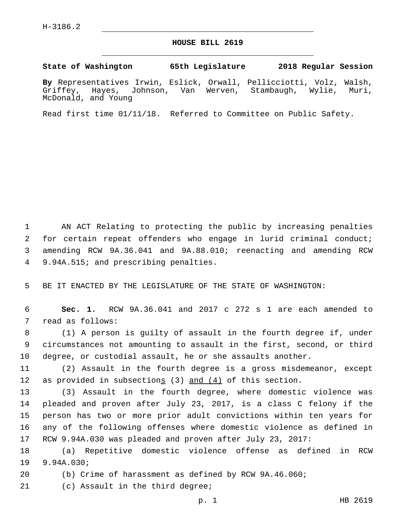## **HOUSE BILL 2619**

## **State of Washington 65th Legislature 2018 Regular Session**

**By** Representatives Irwin, Eslick, Orwall, Pellicciotti, Volz, Walsh, Griffey, Hayes, Johnson, Van Werven, Stambaugh, Wylie, Muri, McDonald, and Young

Read first time 01/11/18. Referred to Committee on Public Safety.

 AN ACT Relating to protecting the public by increasing penalties for certain repeat offenders who engage in lurid criminal conduct; amending RCW 9A.36.041 and 9A.88.010; reenacting and amending RCW 4 9.94A.515; and prescribing penalties.

5 BE IT ENACTED BY THE LEGISLATURE OF THE STATE OF WASHINGTON:

6 **Sec. 1.** RCW 9A.36.041 and 2017 c 272 s 1 are each amended to 7 read as follows:

8 (1) A person is guilty of assault in the fourth degree if, under 9 circumstances not amounting to assault in the first, second, or third 10 degree, or custodial assault, he or she assaults another.

11 (2) Assault in the fourth degree is a gross misdemeanor, except 12 as provided in subsections (3) and (4) of this section.

 (3) Assault in the fourth degree, where domestic violence was pleaded and proven after July 23, 2017, is a class C felony if the person has two or more prior adult convictions within ten years for any of the following offenses where domestic violence as defined in RCW 9.94A.030 was pleaded and proven after July 23, 2017:

18 (a) Repetitive domestic violence offense as defined in RCW 19 9.94A.030;

20 (b) Crime of harassment as defined by RCW 9A.46.060;

21 (c) Assault in the third degree;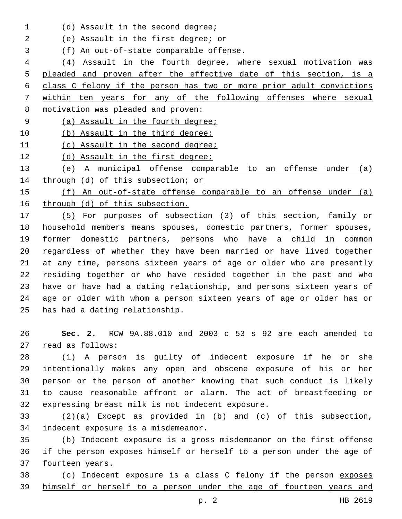1 (d) Assault in the second degree;

(e) Assault in the first degree; or2

(f) An out-of-state comparable offense.3

 (4) Assault in the fourth degree, where sexual motivation was pleaded and proven after the effective date of this section, is a class C felony if the person has two or more prior adult convictions within ten years for any of the following offenses where sexual motivation was pleaded and proven:

(a) Assault in the fourth degree;

10 (b) Assault in the third degree;

(c) Assault in the second degree;

12 (d) Assault in the first degree;

 (e) A municipal offense comparable to an offense under (a) 14 through (d) of this subsection; or

 (f) An out-of-state offense comparable to an offense under (a) through (d) of this subsection.

 (5) For purposes of subsection (3) of this section, family or household members means spouses, domestic partners, former spouses, former domestic partners, persons who have a child in common regardless of whether they have been married or have lived together at any time, persons sixteen years of age or older who are presently residing together or who have resided together in the past and who have or have had a dating relationship, and persons sixteen years of age or older with whom a person sixteen years of age or older has or 25 has had a dating relationship.

 **Sec. 2.** RCW 9A.88.010 and 2003 c 53 s 92 are each amended to 27 read as follows:

 (1) A person is guilty of indecent exposure if he or she intentionally makes any open and obscene exposure of his or her person or the person of another knowing that such conduct is likely to cause reasonable affront or alarm. The act of breastfeeding or 32 expressing breast milk is not indecent exposure.

 (2)(a) Except as provided in (b) and (c) of this subsection, 34 indecent exposure is a misdemeanor.

 (b) Indecent exposure is a gross misdemeanor on the first offense if the person exposes himself or herself to a person under the age of 37 fourteen years.

 (c) Indecent exposure is a class C felony if the person exposes himself or herself to a person under the age of fourteen years and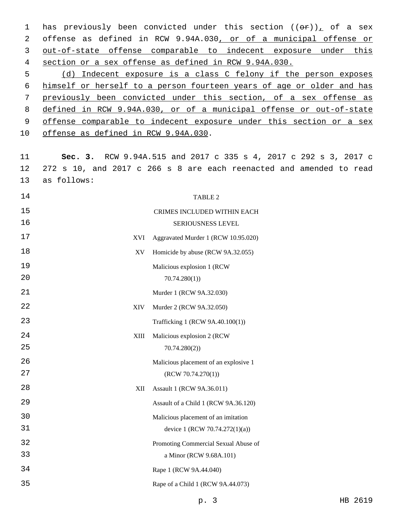1 has previously been convicted under this section  $((\theta \hat{r}))$  of a sex offense as defined in RCW 9.94A.030, or of a municipal offense or out-of-state offense comparable to indecent exposure under this section or a sex offense as defined in RCW 9.94A.030.

 (d) Indecent exposure is a class C felony if the person exposes himself or herself to a person fourteen years of age or older and has previously been convicted under this section, of a sex offense as defined in RCW 9.94A.030, or of a municipal offense or out-of-state offense comparable to indecent exposure under this section or a sex 10 offense as defined in RCW 9.94A.030.

 **Sec. 3.** RCW 9.94A.515 and 2017 c 335 s 4, 2017 c 292 s 3, 2017 c 272 s 10, and 2017 c 266 s 8 are each reenacted and amended to read 13 as follows:

| 14                | TABLE 2                               |
|-------------------|---------------------------------------|
| 15                | CRIMES INCLUDED WITHIN EACH           |
| 16                | SERIOUSNESS LEVEL                     |
| 17<br>XVI         | Aggravated Murder 1 (RCW 10.95.020)   |
| 18<br>XV          | Homicide by abuse (RCW 9A.32.055)     |
| 19                | Malicious explosion 1 (RCW            |
| 20                | 70.74.280(1)                          |
| 21                | Murder 1 (RCW 9A.32.030)              |
| 22<br><b>XIV</b>  | Murder 2 (RCW 9A.32.050)              |
| 23                | Trafficking 1 (RCW 9A.40.100(1))      |
| 24<br><b>XIII</b> | Malicious explosion 2 (RCW            |
| 25                | 70.74.280(2)                          |
| 26                | Malicious placement of an explosive 1 |
| 27                | (RCW 70.74.270(1))                    |
| 28<br>XII         | Assault 1 (RCW 9A.36.011)             |
| 29                | Assault of a Child 1 (RCW 9A.36.120)  |
| 30                | Malicious placement of an imitation   |
| 31                | device 1 (RCW 70.74.272(1)(a))        |
| 32                | Promoting Commercial Sexual Abuse of  |
| 33                | a Minor (RCW 9.68A.101)               |
| 34                | Rape 1 (RCW 9A.44.040)                |
| 35                | Rape of a Child 1 (RCW 9A.44.073)     |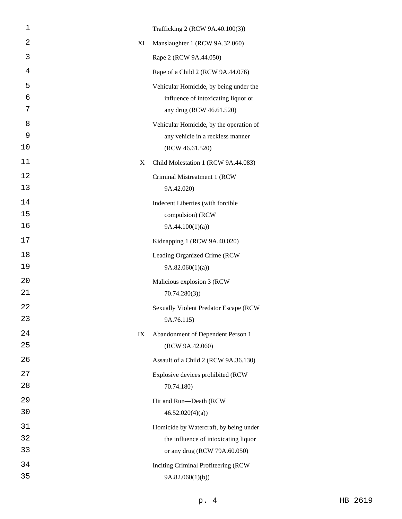| 1        |    | Trafficking 2 (RCW 9A.40.100(3))                                               |
|----------|----|--------------------------------------------------------------------------------|
| 2        | XI | Manslaughter 1 (RCW 9A.32.060)                                                 |
| 3        |    | Rape 2 (RCW 9A.44.050)                                                         |
| 4        |    | Rape of a Child 2 (RCW 9A.44.076)                                              |
| 5        |    | Vehicular Homicide, by being under the                                         |
| 6        |    | influence of intoxicating liquor or                                            |
| 7        |    | any drug (RCW 46.61.520)                                                       |
| 8        |    | Vehicular Homicide, by the operation of                                        |
| 9<br>10  |    | any vehicle in a reckless manner<br>(RCW 46.61.520)                            |
| 11       | X  | Child Molestation 1 (RCW 9A.44.083)                                            |
| 12       |    |                                                                                |
| 13       |    | Criminal Mistreatment 1 (RCW<br>9A.42.020)                                     |
| 14       |    | Indecent Liberties (with forcible                                              |
| 15       |    | compulsion) (RCW                                                               |
| 16       |    | 9A.44.100(1)(a)                                                                |
| 17       |    | Kidnapping 1 (RCW 9A.40.020)                                                   |
| 18       |    | Leading Organized Crime (RCW                                                   |
| 19       |    | 9A.82.060(1)(a)                                                                |
| 20       |    | Malicious explosion 3 (RCW                                                     |
| 21       |    | 70.74.280(3)                                                                   |
| 22       |    | <b>Sexually Violent Predator Escape (RCW</b>                                   |
| 23       |    | 9A.76.115)                                                                     |
| 24       | IX | Abandonment of Dependent Person 1                                              |
| 25       |    | (RCW 9A.42.060)                                                                |
| 26       |    | Assault of a Child 2 (RCW 9A.36.130)                                           |
| 27       |    | Explosive devices prohibited (RCW                                              |
| 28       |    | 70.74.180)                                                                     |
| 29<br>30 |    | Hit and Run-Death (RCW<br>46.52.020(4)(a)                                      |
| 31       |    |                                                                                |
| 32       |    | Homicide by Watercraft, by being under<br>the influence of intoxicating liquor |
| 33       |    | or any drug (RCW 79A.60.050)                                                   |
| 34       |    | Inciting Criminal Profiteering (RCW                                            |
| 35       |    | 9A.82.060(1)(b)                                                                |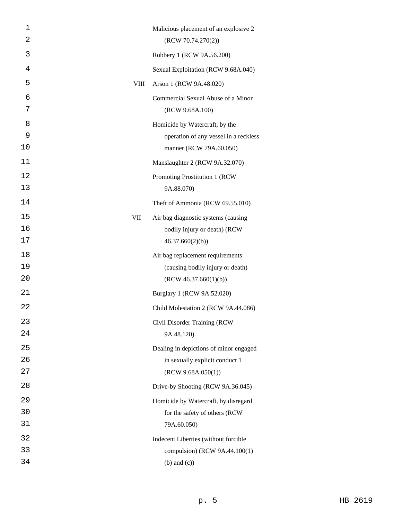| $\mathbf 1$ |             | Malicious placement of an explosive 2                 |
|-------------|-------------|-------------------------------------------------------|
| 2           |             | (RCW 70.74.270(2))                                    |
| 3           |             | Robbery 1 (RCW 9A.56.200)                             |
| 4           |             | Sexual Exploitation (RCW 9.68A.040)                   |
| 5           | <b>VIII</b> | Arson 1 (RCW 9A.48.020)                               |
| 6<br>7      |             | Commercial Sexual Abuse of a Minor<br>(RCW 9.68A.100) |
| 8           |             | Homicide by Watercraft, by the                        |
| 9           |             | operation of any vessel in a reckless                 |
| 10          |             | manner (RCW 79A.60.050)                               |
| 11          |             | Manslaughter 2 (RCW 9A.32.070)                        |
| 12          |             | Promoting Prostitution 1 (RCW                         |
| 13          |             | 9A.88.070)                                            |
| 14          |             | Theft of Ammonia (RCW 69.55.010)                      |
| 15          | VII         | Air bag diagnostic systems (causing                   |
| 16          |             | bodily injury or death) (RCW                          |
| 17          |             | 46.37.660(2)(b)                                       |
| 18          |             | Air bag replacement requirements                      |
| 19          |             | (causing bodily injury or death)                      |
| 20          |             | (RCW 46.37.660(1)(b))                                 |
| 21          |             | Burglary 1 (RCW 9A.52.020)                            |
| 22          |             | Child Molestation 2 (RCW 9A.44.086)                   |
| 23          |             | Civil Disorder Training (RCW                          |
| 24          |             | 9A.48.120)                                            |
| 25          |             | Dealing in depictions of minor engaged                |
| 26          |             | in sexually explicit conduct 1                        |
| 27          |             | (RCW 9.68A.050(1))                                    |
| 28          |             | Drive-by Shooting (RCW 9A.36.045)                     |
| 29          |             | Homicide by Watercraft, by disregard                  |
| 30          |             | for the safety of others (RCW                         |
| 31          |             | 79A.60.050)                                           |
| 32          |             | Indecent Liberties (without forcible                  |
| 33          |             | compulsion) (RCW 9A.44.100(1)                         |
| 34          |             | $(b)$ and $(c)$ )                                     |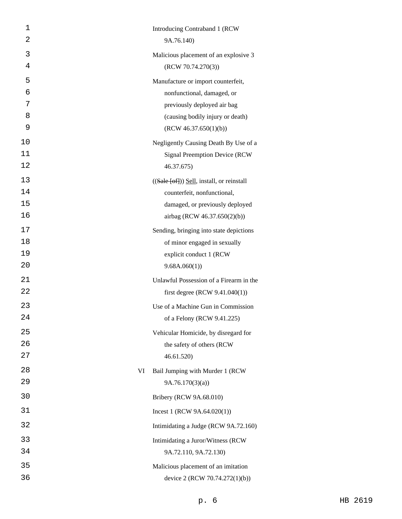| 1        |    | Introducing Contraband 1 (RCW                               |
|----------|----|-------------------------------------------------------------|
| 2        |    | 9A.76.140)                                                  |
| 3        |    | Malicious placement of an explosive 3                       |
| 4        |    | (RCW 70.74.270(3))                                          |
| 5        |    | Manufacture or import counterfeit,                          |
| 6        |    | nonfunctional, damaged, or                                  |
| 7        |    | previously deployed air bag                                 |
| 8        |    | (causing bodily injury or death)                            |
| 9        |    | (RCW 46.37.650(1)(b))                                       |
| 10       |    | Negligently Causing Death By Use of a                       |
| 11       |    | <b>Signal Preemption Device (RCW)</b>                       |
| 12       |    | 46.37.675)                                                  |
| 13       |    | $((\text{Safe } [\text{off}]))$ Sell, install, or reinstall |
| 14       |    | counterfeit, nonfunctional,                                 |
| 15       |    | damaged, or previously deployed                             |
| 16       |    | airbag (RCW 46.37.650(2)(b))                                |
| 17       |    | Sending, bringing into state depictions                     |
| 18       |    | of minor engaged in sexually                                |
| 19<br>20 |    | explicit conduct 1 (RCW                                     |
|          |    | 9.68A.060(1)                                                |
| 21<br>22 |    | Unlawful Possession of a Firearm in the                     |
|          |    | first degree (RCW $9.41.040(1)$ )                           |
| 23       |    | Use of a Machine Gun in Commission                          |
| 24       |    | of a Felony (RCW 9.41.225)                                  |
| 25       |    | Vehicular Homicide, by disregard for                        |
| 26       |    | the safety of others (RCW                                   |
| 27       |    | 46.61.520                                                   |
| 28       | VI | Bail Jumping with Murder 1 (RCW                             |
| 29       |    | 9A.76.170(3)(a)                                             |
| 30       |    | Bribery (RCW 9A.68.010)                                     |
| 31       |    | Incest 1 (RCW $9A.64.020(1)$ )                              |
| 32       |    | Intimidating a Judge (RCW 9A.72.160)                        |
| 33       |    | Intimidating a Juror/Witness (RCW                           |
| 34       |    | 9A.72.110, 9A.72.130)                                       |
| 35       |    | Malicious placement of an imitation                         |
| 36       |    | device 2 (RCW 70.74.272(1)(b))                              |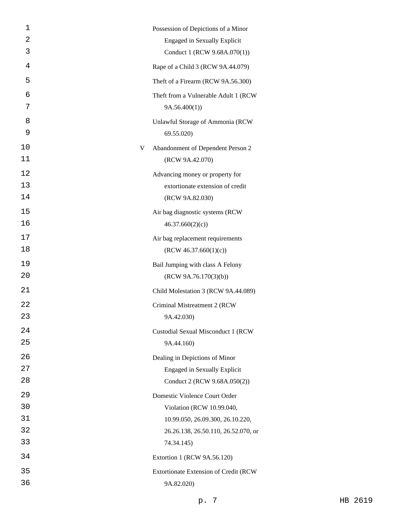| 1  |   | Possession of Depictions of a Minor   |
|----|---|---------------------------------------|
| 2  |   | <b>Engaged in Sexually Explicit</b>   |
| 3  |   | Conduct 1 (RCW 9.68A.070(1))          |
| 4  |   | Rape of a Child 3 (RCW 9A.44.079)     |
| 5  |   | Theft of a Firearm (RCW 9A.56.300)    |
| 6  |   | Theft from a Vulnerable Adult 1 (RCW  |
| 7  |   | 9A.56.400(1)                          |
| 8  |   | Unlawful Storage of Ammonia (RCW      |
| 9  |   | 69.55.020)                            |
| 10 | V | Abandonment of Dependent Person 2     |
| 11 |   | (RCW 9A.42.070)                       |
| 12 |   | Advancing money or property for       |
| 13 |   | extortionate extension of credit      |
| 14 |   | (RCW 9A.82.030)                       |
| 15 |   | Air bag diagnostic systems (RCW       |
| 16 |   | 46.37.660(2)(c)                       |
| 17 |   | Air bag replacement requirements      |
| 18 |   | (RCW 46.37.660(1)(c))                 |
| 19 |   | Bail Jumping with class A Felony      |
| 20 |   | (RCW 9A.76.170(3)(b))                 |
| 21 |   | Child Molestation 3 (RCW 9A.44.089)   |
| 22 |   | Criminal Mistreatment 2 (RCW          |
| 23 |   | 9A.42.030)                            |
| 24 |   | Custodial Sexual Misconduct 1 (RCW    |
| 25 |   | 9A.44.160)                            |
| 26 |   | Dealing in Depictions of Minor        |
| 27 |   | <b>Engaged in Sexually Explicit</b>   |
| 28 |   | Conduct 2 (RCW 9.68A.050(2))          |
| 29 |   | Domestic Violence Court Order         |
| 30 |   | Violation (RCW 10.99.040,             |
| 31 |   | 10.99.050, 26.09.300, 26.10.220,      |
| 32 |   | 26.26.138, 26.50.110, 26.52.070, or   |
| 33 |   | 74.34.145)                            |
| 34 |   | Extortion 1 (RCW 9A.56.120)           |
| 35 |   | Extortionate Extension of Credit (RCW |
| 36 |   | 9A.82.020)                            |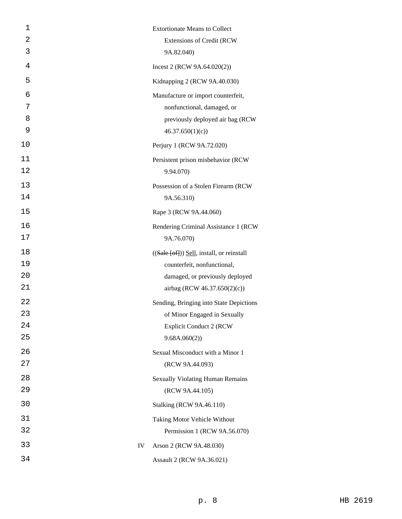| 1  |    |                                                             |
|----|----|-------------------------------------------------------------|
| 2  |    | <b>Extortionate Means to Collect</b>                        |
| 3  |    | Extensions of Credit (RCW                                   |
|    |    | 9A.82.040)                                                  |
| 4  |    | Incest 2 (RCW 9A.64.020(2))                                 |
| 5  |    | Kidnapping 2 (RCW 9A.40.030)                                |
| 6  |    | Manufacture or import counterfeit,                          |
| 7  |    | nonfunctional, damaged, or                                  |
| 8  |    | previously deployed air bag (RCW                            |
| 9  |    | 46.37.650(1)(c)                                             |
| 10 |    | Perjury 1 (RCW 9A.72.020)                                   |
| 11 |    | Persistent prison misbehavior (RCW                          |
| 12 |    | 9.94.070)                                                   |
| 13 |    | Possession of a Stolen Firearm (RCW                         |
| 14 |    | 9A.56.310)                                                  |
| 15 |    | Rape 3 (RCW 9A.44.060)                                      |
| 16 |    | Rendering Criminal Assistance 1 (RCW)                       |
| 17 |    | 9A.76.070)                                                  |
| 18 |    | $((\text{Safe } [\text{off}]))$ Sell, install, or reinstall |
| 19 |    | counterfeit, nonfunctional,                                 |
| 20 |    | damaged, or previously deployed                             |
| 21 |    | airbag (RCW 46.37.650(2)(c))                                |
| 22 |    | Sending, Bringing into State Depictions                     |
| 23 |    | of Minor Engaged in Sexually                                |
| 24 |    | <b>Explicit Conduct 2 (RCW</b>                              |
| 25 |    | 9.68A.060(2)                                                |
| 26 |    | Sexual Misconduct with a Minor 1                            |
| 27 |    | (RCW 9A.44.093)                                             |
| 28 |    | <b>Sexually Violating Human Remains</b>                     |
| 29 |    | (RCW 9A.44.105)                                             |
| 30 |    | <b>Stalking (RCW 9A.46.110)</b>                             |
| 31 |    | Taking Motor Vehicle Without                                |
| 32 |    | Permission 1 (RCW 9A.56.070)                                |
| 33 | IV | Arson 2 (RCW 9A.48.030)                                     |
| 34 |    | Assault 2 (RCW 9A.36.021)                                   |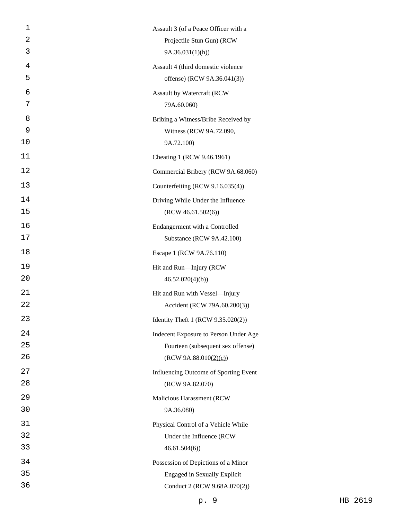| 1  | Assault 3 (of a Peace Officer with a  |
|----|---------------------------------------|
| 2  | Projectile Stun Gun) (RCW             |
| 3  | 9A.36.031(1)(h)                       |
| 4  | Assault 4 (third domestic violence    |
| 5  | offense) (RCW 9A.36.041(3))           |
| 6  | Assault by Watercraft (RCW            |
| 7  | 79A.60.060)                           |
| 8  | Bribing a Witness/Bribe Received by   |
| 9  | Witness (RCW 9A.72.090,               |
| 10 | 9A.72.100)                            |
| 11 | Cheating 1 (RCW 9.46.1961)            |
| 12 | Commercial Bribery (RCW 9A.68.060)    |
| 13 | Counterfeiting (RCW 9.16.035(4))      |
| 14 | Driving While Under the Influence     |
| 15 | (RCW 46.61.502(6))                    |
| 16 | Endangerment with a Controlled        |
| 17 | Substance (RCW 9A.42.100)             |
| 18 | Escape 1 (RCW 9A.76.110)              |
| 19 | Hit and Run-Injury (RCW               |
| 20 | 46.52.020(4)(b)                       |
| 21 | Hit and Run with Vessel-Injury        |
| 22 | Accident (RCW 79A.60.200(3))          |
| 23 | Identity Theft 1 (RCW 9.35.020(2))    |
| 24 | Indecent Exposure to Person Under Age |
| 25 | Fourteen (subsequent sex offense)     |
| 26 | (RCW 9A.88.010(2)(c))                 |
| 27 | Influencing Outcome of Sporting Event |
| 28 | (RCW 9A.82.070)                       |
| 29 | Malicious Harassment (RCW             |
| 30 | 9A.36.080)                            |
| 31 | Physical Control of a Vehicle While   |
| 32 | Under the Influence (RCW              |
| 33 | 46.61.504(6)                          |
| 34 | Possession of Depictions of a Minor   |
| 35 | <b>Engaged in Sexually Explicit</b>   |
| 36 | Conduct 2 (RCW 9.68A.070(2))          |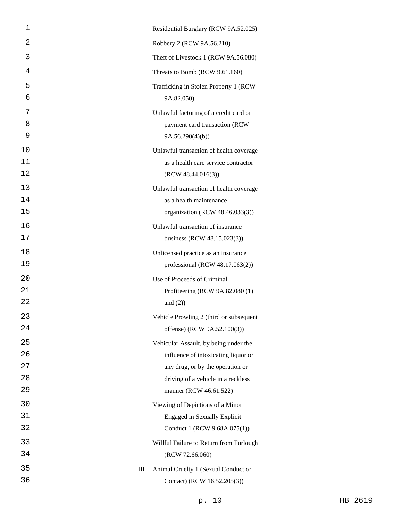| 1  |   | Residential Burglary (RCW 9A.52.025)    |
|----|---|-----------------------------------------|
| 2  |   | Robbery 2 (RCW 9A.56.210)               |
| 3  |   | Theft of Livestock 1 (RCW 9A.56.080)    |
| 4  |   | Threats to Bomb (RCW 9.61.160)          |
| 5  |   | Trafficking in Stolen Property 1 (RCW)  |
| 6  |   | 9A.82.050)                              |
| 7  |   | Unlawful factoring of a credit card or  |
| 8  |   | payment card transaction (RCW           |
| 9  |   | 9A.56.290(4)(b)                         |
| 10 |   | Unlawful transaction of health coverage |
| 11 |   | as a health care service contractor     |
| 12 |   | (RCW 48.44.016(3))                      |
| 13 |   | Unlawful transaction of health coverage |
| 14 |   | as a health maintenance                 |
| 15 |   | organization (RCW 48.46.033(3))         |
| 16 |   | Unlawful transaction of insurance       |
| 17 |   | business (RCW 48.15.023(3))             |
| 18 |   | Unlicensed practice as an insurance     |
| 19 |   | professional (RCW 48.17.063(2))         |
| 20 |   | Use of Proceeds of Criminal             |
| 21 |   | Profiteering (RCW 9A.82.080 (1)         |
| 22 |   | and $(2)$ )                             |
| 23 |   | Vehicle Prowling 2 (third or subsequent |
| 24 |   | offense) (RCW 9A.52.100(3))             |
| 25 |   | Vehicular Assault, by being under the   |
| 26 |   | influence of intoxicating liquor or     |
| 27 |   | any drug, or by the operation or        |
| 28 |   | driving of a vehicle in a reckless      |
| 29 |   | manner (RCW 46.61.522)                  |
| 30 |   | Viewing of Depictions of a Minor        |
| 31 |   | <b>Engaged in Sexually Explicit</b>     |
| 32 |   | Conduct 1 (RCW 9.68A.075(1))            |
| 33 |   | Willful Failure to Return from Furlough |
| 34 |   | (RCW 72.66.060)                         |
| 35 | Ш | Animal Cruelty 1 (Sexual Conduct or     |
| 36 |   | Contact) (RCW 16.52.205(3))             |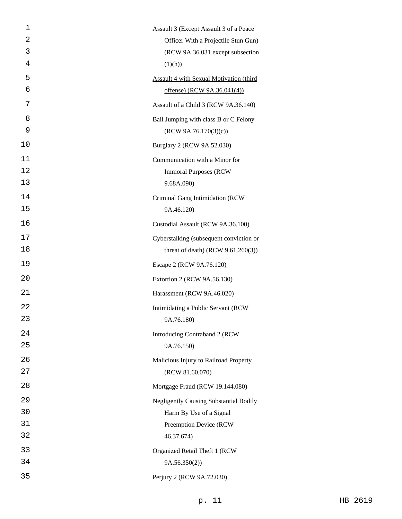| 1  | Assault 3 (Except Assault 3 of a Peace          |
|----|-------------------------------------------------|
| 2  | Officer With a Projectile Stun Gun)             |
| 3  | (RCW 9A.36.031 except subsection                |
| 4  | (1)(h))                                         |
| 5  | <b>Assault 4 with Sexual Motivation (third)</b> |
| 6  | offense) (RCW 9A.36.041(4))                     |
| 7  | Assault of a Child 3 (RCW 9A.36.140)            |
| 8  | Bail Jumping with class B or C Felony           |
| 9  | (RCW 9A.76.170(3)(c))                           |
| 10 | Burglary 2 (RCW 9A.52.030)                      |
| 11 | Communication with a Minor for                  |
| 12 | <b>Immoral Purposes (RCW)</b>                   |
| 13 | 9.68A.090)                                      |
| 14 | Criminal Gang Intimidation (RCW                 |
| 15 | 9A.46.120)                                      |
| 16 | Custodial Assault (RCW 9A.36.100)               |
| 17 | Cyberstalking (subsequent conviction or         |
| 18 | threat of death) (RCW $9.61.260(3)$ )           |
| 19 | Escape 2 (RCW 9A.76.120)                        |
| 20 | Extortion 2 (RCW 9A.56.130)                     |
| 21 | Harassment (RCW 9A.46.020)                      |
| 22 | Intimidating a Public Servant (RCW              |
| 23 | 9A.76.180)                                      |
| 24 | Introducing Contraband 2 (RCW                   |
| 25 | 9A.76.150)                                      |
| 26 | Malicious Injury to Railroad Property           |
| 27 | (RCW 81.60.070)                                 |
| 28 | Mortgage Fraud (RCW 19.144.080)                 |
| 29 | <b>Negligently Causing Substantial Bodily</b>   |
| 30 | Harm By Use of a Signal                         |
| 31 | Preemption Device (RCW                          |
| 32 | 46.37.674)                                      |
| 33 | Organized Retail Theft 1 (RCW                   |
| 34 | 9A.56.350(2)                                    |
| 35 | Perjury 2 (RCW 9A.72.030)                       |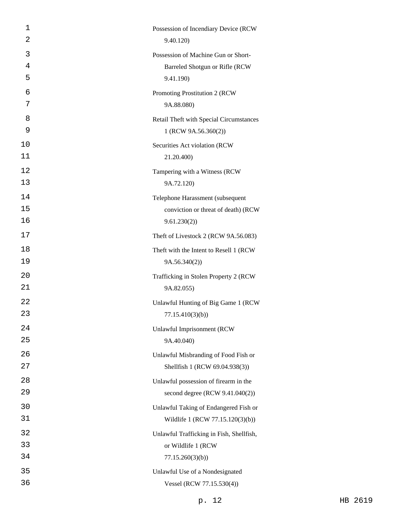| $\mathbf 1$<br>2 | Possession of Incendiary Device (RCW<br>9.40.120)                        |
|------------------|--------------------------------------------------------------------------|
| 3                |                                                                          |
| 4                | Possession of Machine Gun or Short-<br>Barreled Shotgun or Rifle (RCW    |
| 5                | 9.41.190)                                                                |
| 6                | Promoting Prostitution 2 (RCW)                                           |
| 7                | 9A.88.080)                                                               |
| 8                | Retail Theft with Special Circumstances                                  |
| 9                | 1 (RCW 9A.56.360(2))                                                     |
| 10               | Securities Act violation (RCW                                            |
| 11               | 21.20.400)                                                               |
| 12               | Tampering with a Witness (RCW                                            |
| 13               | 9A.72.120)                                                               |
| 14               | Telephone Harassment (subsequent                                         |
| 15               | conviction or threat of death) (RCW                                      |
| 16               | 9.61.230(2)                                                              |
| 17               | Theft of Livestock 2 (RCW 9A.56.083)                                     |
| 18               | Theft with the Intent to Resell 1 (RCW                                   |
| 19               | 9A.56.340(2)                                                             |
| 20               | Trafficking in Stolen Property 2 (RCW)                                   |
| 21               | 9A.82.055)                                                               |
| 22               | Unlawful Hunting of Big Game 1 (RCW                                      |
| 23               | 77.15.410(3)(b)                                                          |
| 24<br>25         | <b>Unlawful Imprisonment (RCW</b>                                        |
|                  | 9A.40.040)                                                               |
| 26<br>27         | Unlawful Misbranding of Food Fish or<br>Shellfish 1 (RCW 69.04.938(3))   |
| 28               |                                                                          |
| 29               | Unlawful possession of firearm in the<br>second degree (RCW 9.41.040(2)) |
| 30               | Unlawful Taking of Endangered Fish or                                    |
| 31               | Wildlife 1 (RCW 77.15.120(3)(b))                                         |
| 32               | Unlawful Trafficking in Fish, Shellfish,                                 |
| 33               | or Wildlife 1 (RCW                                                       |
| 34               | 77.15.260(3)(b)                                                          |
| 35               | Unlawful Use of a Nondesignated                                          |
| 36               | Vessel (RCW 77.15.530(4))                                                |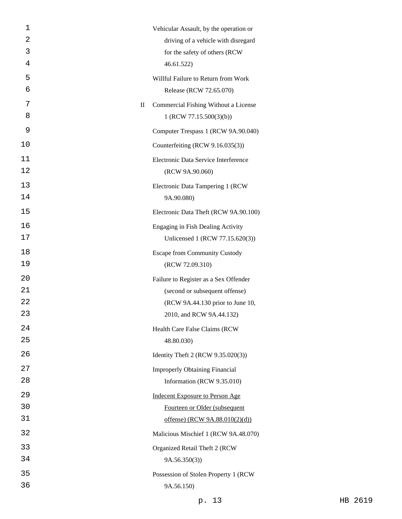| 1  |             | Vehicular Assault, by the operation or |
|----|-------------|----------------------------------------|
| 2  |             | driving of a vehicle with disregard    |
| 3  |             | for the safety of others (RCW          |
| 4  |             | 46.61.522)                             |
| 5  |             | Willful Failure to Return from Work    |
| 6  |             | Release (RCW 72.65.070)                |
| 7  | $\rm _{II}$ | Commercial Fishing Without a License   |
| 8  |             | 1 (RCW 77.15.500(3)(b))                |
| 9  |             | Computer Trespass 1 (RCW 9A.90.040)    |
| 10 |             | Counterfeiting (RCW 9.16.035(3))       |
| 11 |             | Electronic Data Service Interference   |
| 12 |             | (RCW 9A.90.060)                        |
| 13 |             | Electronic Data Tampering 1 (RCW       |
| 14 |             | 9A.90.080)                             |
| 15 |             | Electronic Data Theft (RCW 9A.90.100)  |
| 16 |             | Engaging in Fish Dealing Activity      |
| 17 |             | Unlicensed 1 (RCW 77.15.620(3))        |
| 18 |             | <b>Escape from Community Custody</b>   |
| 19 |             | (RCW 72.09.310)                        |
| 20 |             | Failure to Register as a Sex Offender  |
| 21 |             | (second or subsequent offense)         |
| 22 |             | (RCW 9A.44.130 prior to June 10,       |
| 23 |             | 2010, and RCW 9A.44.132)               |
| 24 |             | Health Care False Claims (RCW          |
| 25 |             | 48.80.030)                             |
| 26 |             | Identity Theft 2 (RCW 9.35.020(3))     |
| 27 |             | <b>Improperly Obtaining Financial</b>  |
| 28 |             | Information (RCW 9.35.010)             |
| 29 |             | <b>Indecent Exposure to Person Age</b> |
| 30 |             | Fourteen or Older (subsequent          |
| 31 |             | offense) (RCW 9A.88.010(2)(d))         |
| 32 |             | Malicious Mischief 1 (RCW 9A.48.070)   |
| 33 |             | Organized Retail Theft 2 (RCW          |
| 34 |             | 9A.56.350(3)                           |
| 35 |             | Possession of Stolen Property 1 (RCW   |
| 36 |             | 9A.56.150)                             |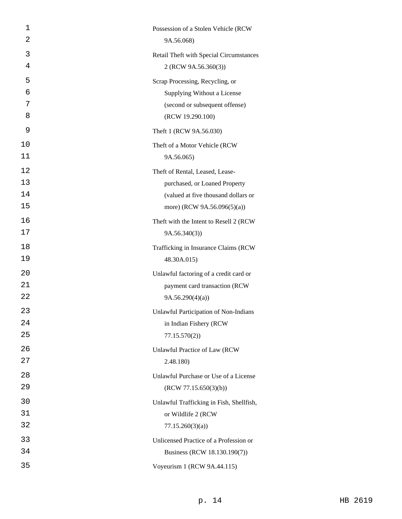| 1<br>2 | Possession of a Stolen Vehicle (RCW<br>9A.56.068)               |
|--------|-----------------------------------------------------------------|
| 3      |                                                                 |
| 4      | Retail Theft with Special Circumstances<br>2 (RCW 9A.56.360(3)) |
| 5      | Scrap Processing, Recycling, or                                 |
| 6      | Supplying Without a License                                     |
| 7      | (second or subsequent offense)                                  |
| 8      | (RCW 19.290.100)                                                |
| 9      | Theft 1 (RCW 9A.56.030)                                         |
| 10     | Theft of a Motor Vehicle (RCW                                   |
| 11     | 9A.56.065)                                                      |
| 12     | Theft of Rental, Leased, Lease-                                 |
| 13     | purchased, or Loaned Property                                   |
| 14     | (valued at five thousand dollars or                             |
| 15     | more) (RCW 9A.56.096(5)(a))                                     |
| 16     | Theft with the Intent to Resell 2 (RCW                          |
| 17     | 9A.56.340(3)                                                    |
| 18     | Trafficking in Insurance Claims (RCW                            |
| 19     | 48.30A.015)                                                     |
| 20     | Unlawful factoring of a credit card or                          |
| 21     | payment card transaction (RCW                                   |
| 22     | 9A.56.290(4)(a)                                                 |
| 23     | Unlawful Participation of Non-Indians                           |
| 24     | in Indian Fishery (RCW                                          |
| 25     | 77.15.570(2)                                                    |
| 26     | Unlawful Practice of Law (RCW                                   |
| 27     | 2.48.180)                                                       |
| 28     | Unlawful Purchase or Use of a License                           |
| 29     | (RCW 77.15.650(3)(b))                                           |
| 30     | Unlawful Trafficking in Fish, Shellfish,                        |
| 31     | or Wildlife 2 (RCW                                              |
| 32     | 77.15.260(3)(a)                                                 |
| 33     | Unlicensed Practice of a Profession or                          |
| 34     | Business (RCW 18.130.190(7))                                    |
| 35     | Voyeurism 1 (RCW 9A.44.115)                                     |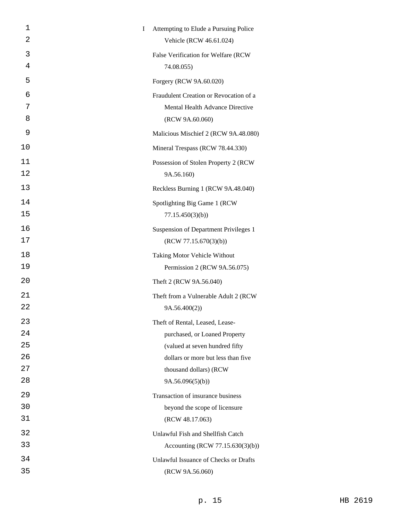| 1  | I | Attempting to Elude a Pursuing Police  |
|----|---|----------------------------------------|
| 2  |   | Vehicle (RCW 46.61.024)                |
| 3  |   | False Verification for Welfare (RCW    |
| 4  |   | 74.08.055)                             |
| 5  |   | Forgery (RCW 9A.60.020)                |
| 6  |   | Fraudulent Creation or Revocation of a |
| 7  |   | Mental Health Advance Directive        |
| 8  |   | (RCW 9A.60.060)                        |
| 9  |   | Malicious Mischief 2 (RCW 9A.48.080)   |
| 10 |   | Mineral Trespass (RCW 78.44.330)       |
| 11 |   | Possession of Stolen Property 2 (RCW   |
| 12 |   | 9A.56.160)                             |
| 13 |   | Reckless Burning 1 (RCW 9A.48.040)     |
| 14 |   | Spotlighting Big Game 1 (RCW           |
| 15 |   | 77.15.450(3)(b)                        |
| 16 |   | Suspension of Department Privileges 1  |
| 17 |   | (RCW 77.15.670(3)(b))                  |
| 18 |   | Taking Motor Vehicle Without           |
| 19 |   | Permission 2 (RCW 9A.56.075)           |
| 20 |   | Theft 2 (RCW 9A.56.040)                |
| 21 |   | Theft from a Vulnerable Adult 2 (RCW   |
| 22 |   | 9A.56.400(2)                           |
| 23 |   | Theft of Rental, Leased, Lease-        |
| 24 |   | purchased, or Loaned Property          |
| 25 |   | (valued at seven hundred fifty         |
| 26 |   | dollars or more but less than five     |
| 27 |   | thousand dollars) (RCW                 |
| 28 |   | 9A.56.096(5)(b)                        |
| 29 |   | Transaction of insurance business      |
| 30 |   | beyond the scope of licensure          |
| 31 |   | (RCW 48.17.063)                        |
| 32 |   | Unlawful Fish and Shellfish Catch      |
| 33 |   | Accounting (RCW 77.15.630(3)(b))       |
| 34 |   | Unlawful Issuance of Checks or Drafts  |
| 35 |   | (RCW 9A.56.060)                        |